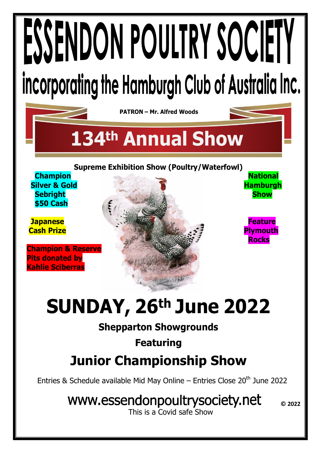# ESSENDON POULTRY SOCIETY incorporating the Hamburgh Club of Australia Inc.

**PATRON – Mr. Alfred Woods**

# **134th Annual Show**

**Supreme Exhibition Show (Poultry/Waterfowl)**

 **\$50 Cash**

**Champion & Reserve Pits donated by Kahlie Sciberras**



# **SUNDAY, 26th June 2022**

# **Shepparton Showgrounds**

### **Featuring**

# **Junior Championship Show**

Entries & Schedule available Mid May Online – Entries Close  $20<sup>th</sup>$  June 2022

# www.essendonpoultrysociety.net

This is a Covid safe Show

**© 2022**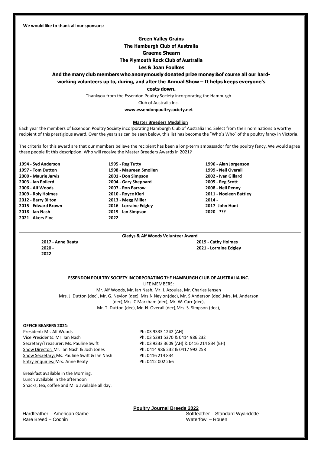**We would like to thank all our sponsors:**

#### **Green Valley Grains**

#### **The Hamburgh Club of Australia**

#### **Graeme Shearn**

#### **The Plymouth Rock Club of Australia**

#### **Les & Joan Foulkes**

#### **And the many club members who anonymously donated prize money &of course all our hard-**

**working volunteers up to, during, and after the Annual Show – It helps keeps everyone's**

#### **costs down.**

Thankyou from the Essendon Poultry Society incorporating the Hamburgh

Club of Australia Inc.

**[www.essendonpoultrysociety.net](http://www.essendonpoultrysociety.net/)**

#### **Master Breeders Medallion**

Each year the members of Essendon Poultry Society incorporating Hamburgh Club of Australia Inc. Select from their nominations a worthy recipient of this prestigious award. Over the years as can be seen below, this list has become the "Who's Who" of the poultry fancy in Victoria.

The criteria for this award are that our members believe the recipient has been a long-term ambassador for the poultry fancy. We would agree these people fit this description. Who will receive the Master Breeders Awards in 2021?

- **2021 - Akers Floc 2022 -**
- **1994 - Syd Anderson 1995 - Reg Tutty 1996 - Alan Jorgenson 1997 - Tom Dutton 1998 - Maureen Smollen 1999 - Neil Overall 2000 - Maurie Jarvis 2001 - Don Simpson 2002 - Ivan Gillard 2003 - Ian Pollerd 2004 - Gary Sheppard 2005 - Reg Scott 2006 - Alf Woods 2007 - Ron Barrow 2008 - Neil Penny 2012 - Barry Bilton 2013 - Megg Miller 2014 - 2015 - Edward Brown 2016 - Lorraine Edgley 2017- John Hunt 2018 - Ian Nash 2019 - Ian Simpson 2020 - ???**

**2009 - Roly Holmes 2010 - Royce Kierl 2011 - Noeleen Battley**

#### **Gladys & Alf Woods Volunteer Award**

**2020 - 2021 - Lorraine Edgley 2022 -**

### **2017 - Anne Beaty 2019 - Cathy Holmes**

#### **ESSENDON POULTRY SOCIETY INCORPORATING THE HAMBURGH CLUB OF AUSTRALIA INC.**

LIFE MEMBERS: Mr. Alf Woods, Mr. Ian Nash, Mr. J. Azoulas, Mr. Charles Jensen Mrs. J. Dutton (dec), Mr. G. Neylon (dec), Mrs.N Neylon(dec), Mr. S Anderson (dec),Mrs. M. Anderson (dec),Mrs. C Markham (dec), Mr. W. Carr (dec), Mr. T. Dutton (dec), Mr. N. Overall (dec),Mrs. S. Simpson (dec),

#### **OFFICE BEARERS 2021:**

President: Mr. Alf Woods Ph: 03 9333 1242 (AH) Vice Presidents: Mr. Ian Nash Ph: 03 5281 5370 & 0414 986 232 Secretary/Treasurer: Ms. Pauline Swift Ph: 03 9333 3609 (AH) & 0416 214 834 (BH) Show Director: Mr. Ian Nash & Josh Jones Ph: 0414 986 232 & 0417 992 258 Show Secretary: Ms. Pauline Swift & Ian Nash Ph: 0416 214 834<br>
Entry enquiries: Mrs. Anne Beaty Ph: 0412 002 266 Entry enquiries: Mrs. Anne Beaty

Breakfast available in the Morning. Lunch available in the afternoon Snacks, tea, coffee and Milo available all day.

Rare Breed – Cochin

**Poultry Journal Breeds 2022**

Hardfeather – American Game Softfeather – Standard Wyandotte Softfeather – Standard Wyandotte Rare Breed – Cochin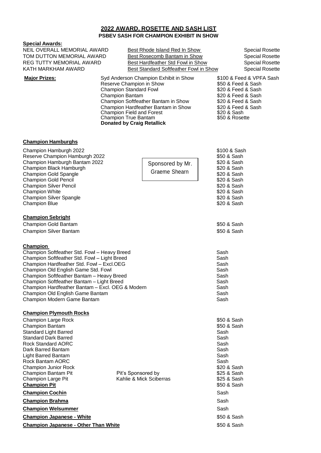#### **2022 AWARD, ROSETTE AND SASH LIST PSBEV SASH FOR CHAMPION EXHIBIT IN SHOW**

#### Sponsored by Mr. Graeme Shearn **Special Awards:** NEIL OVERALL MEMORIAL AWARD Best Rhode Island Red In Show Special Rosette TOM DUTTON MEMORIAL AWARD Best Rosecomb Bantam in Show Special Rosette REG TUTTY MEMORIAL AWARD Best Hardfeather Std Fowl in Show Special Rosette KATH MARKHAM AWARD Best Standard Softfeather Fowl in Show Special Rosette **Major Prizes:** Syd Anderson Champion Exhibit in Show \$100 & Feed & VPFA Sash Reserve Champion in Show \$50 & Feed & Sash Champion Standard Fowl \$20 & Feed & Sash Champion Bantam  $$20$  & Feed & Sash Champion Softfeather Bantam in Show \$20 & Feed & Sash Champion Hardfeather Bantam in Show Champion Field and Forest Champion True Bantam **Donated by Craig Retallick** \$20 & Feed & Sash \$20 & Sash \$50 & Rosette **Champion Hamburghs** Champion Hamburgh 2022 **\$100 & Sash** Reserve Champion Hamburgh 2022 **\$50 & Sash** Neserve Champion Hamburgh 2022 Champion Hamburgh Bantam 2022 **\$20 & Sash Champion Black Hamburgh 2022** \$20 & Sash Champion Black Hamburgh Champion Black Hamburgh Champion Gold Spangle **\$20 & Sash Champion Gold Spangle Strate** Span and Strate Theory of Sash Champion Gold Pencil<br> **Champion Gold Pencil** Champion Gold Pencil Champion Silver Pencil **by Champion Silver Pencil**  $\sim$  320 & Sash Champion White **\$20 & Sash** Champion Silver Spangle **\$20 & Sash** Champion Blue **320 & Sash Champion Sebright** Champion Gold Bantam **\$50 & Sash** \$50 & Sash \$50 & Sash \$50 & Sash \$50 & Sash \$50 & Sash \$50 **& Sash** Champion Silver Bantam **\$50 & Sash** \$50 & Sash **Champion** Champion Softfeather Std. Fowl – Heavy Breed Sash Sash Champion Softfeather Std. Fowl – Light Breed Sash Sash Champion Hardfeather Std. Fowl – Excl.OEG Sash Sash Champion Old English Game Std. Fowl Sash Champion Softfeather Bantam – Heavy Breed Sash Sash Champion Softfeather Bantam – Light Breed<br>Champion Hardfeather Bantam – Excl. OEG & Modern<br>Sash Champion Hardfeather Bantam - Excl. OEG & Modern Champion Old English Game Bantam Sash Sash Champion Modern Game Bantam Sash **Champion Plymouth Rocks** Champion Large Rock **\$50 & Sash** Champion Bantam **\$50 & Sash** Standard Light Barred Sash Standard Light Barred Sash Standard Light Barred Sash Sash Sash Sash Sash Sash Sash Standard Dark Barred Sash Rock Standard AORC Sash Dark Barred Bantam Sash Light Barred Bantam Sash Rock Bantam AORC Champion Junior Rock **\$20 & Sash** Champion Bantam Pit **Pit's Sponsored by Pit's Sponsored by** \$25 & Sash Champion Large Pit **Kahlie & Mick Sciberras** \$25 & Sash **Champion Pit**  $\bullet$  **Champion Pit Champion Cochin** Sash **Communist Constanting Communist Communist Communist Communist Communist Communist Communist Communist Communist Communist Communist Communist Communist Communist Communist Communist Communist Commun Champion Brahma** Sash **Champion Brahma** Sash **Sash Albert Sash Sash Sash Sash Sash Champion Welsummer** Sash

**Champion Japanese - White**  $\bullet$  **S50 & Sash Champion Japanese - Other Than White**  $$50$  & Sash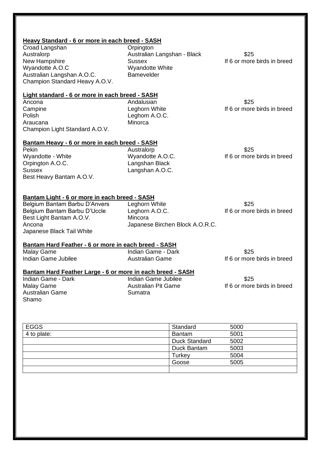| Heavy Standard - 6 or more in each breed - SASH      |                                 |                             |  |
|------------------------------------------------------|---------------------------------|-----------------------------|--|
| Croad Langshan                                       | Orpington                       |                             |  |
| Australorp                                           | Australian Langshan - Black     | \$25                        |  |
| New Hampshire                                        | <b>Sussex</b>                   | If 6 or more birds in breed |  |
| Wyandotte A.O.C                                      | Wyandotte White                 |                             |  |
| Australian Langshan A.O.C.                           | <b>Bamevelder</b>               |                             |  |
| Champion Standard Heavy A.O.V.                       |                                 |                             |  |
| Light standard - 6 or more in each breed - SASH      |                                 |                             |  |
| Ancona                                               | Andalusian                      | \$25                        |  |
| Campine                                              | Leghorn White                   | If 6 or more birds in breed |  |
| Polish                                               | Leghom A.O.C.                   |                             |  |
| Araucana                                             | Minorca                         |                             |  |
| Champion Light Standard A.O.V.                       |                                 |                             |  |
| Bantam Heavy - 6 or more in each breed - SASH        |                                 |                             |  |
| Pekin                                                | Australorp                      | \$25                        |  |
| Wyandotte - White                                    | Wyandotte A.O.C.                | If 6 or more birds in breed |  |
| Orpington A.O.C.                                     | Langshan Black                  |                             |  |
| <b>Sussex</b>                                        | Langshan A.O.C.                 |                             |  |
| Best Heavy Bantam A.O.V.                             |                                 |                             |  |
| Bantam Light - 6 or more in each breed - SASH        |                                 |                             |  |
| Belgium Bantam Barbu D'Anvers                        | Leghorn White                   | \$25                        |  |
| Belgium Bantam Barbu D'Uccle                         | Leghorn A.O.C.                  | If 6 or more birds in breed |  |
| Best Light Bantam A.O.V.                             | Mincora                         |                             |  |
| Ancona                                               | Japanese Birchen Block A.O.R.C. |                             |  |
| Japanese Black Tail White                            |                                 |                             |  |
| Bantam Hard Feather - 6 or more in each breed - SASH |                                 |                             |  |
| <b>Malay Game</b>                                    | Indian Game - Dark              | \$25                        |  |
| Indian Game Jubilee                                  | <b>Australian Game</b>          | If 6 or more birds in breed |  |
|                                                      |                                 |                             |  |

# **Bantam Hard Feather Large - 6 or more in each breed - SASH**

Australian Game Shamo

Indian Game - Dark Indian Game Jubilee \$25<br>
Malay Game 1997 - Malay Game 1997 - Australian Pit Game 1997 - If 6 or more Australian Pit Game<br>
Sumatra<br>
Sumatra

| <b>EGGS</b> | Standard             | 5000 |
|-------------|----------------------|------|
| 4 to plate: | <b>Bantam</b>        | 5001 |
|             | <b>Duck Standard</b> | 5002 |
|             | Duck Bantam          | 5003 |
|             | Turkey               | 5004 |
|             | Goose                | 5005 |
|             |                      |      |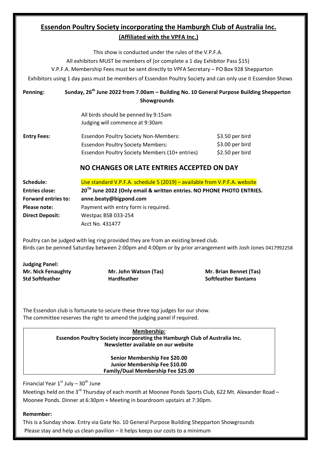#### **Essendon Poultry Society incorporating the Hamburgh Club of Australia Inc. (Affiliated with the VPFA Inc.)**

This show is conducted under the rules of the V.P.F.A. All exhibitors MUST be members of (or complete a 1 day Exhibitor Pass \$15) V.P.F.A. Membership Fees must be sent directly to VPFA Secretary – PO Box 928 Shepparton Exhibitors using 1 day pass must be members of Essendon Poultry Society and can only use it Essendon Shows **Penning: Sunday, 26th June 2022 from 7.00am – Building No. 10 General Purpose Building Shepperton Showgrounds**

|                    | <b>SHOWARDUNGS</b>                                                      |                 |
|--------------------|-------------------------------------------------------------------------|-----------------|
|                    | All birds should be penned by 9:15am<br>Judging will commence at 9:30am |                 |
| <b>Entry Fees:</b> | <b>Essendon Poultry Society Non-Members:</b>                            | \$3.50 per bird |
|                    | <b>Essendon Poultry Society Members:</b>                                | \$3.00 per bird |
|                    | Essendon Poultry Society Members (10+ entries)                          | \$2.50 per bird |

#### **NO CHANGES OR LATE ENTRIES ACCEPTED ON DAY**

| Schedule:                  | Use standard V.P.F.A. schedule 5 (2019) – available from V.P.F.A. website         |  |  |
|----------------------------|-----------------------------------------------------------------------------------|--|--|
| <b>Entries close:</b>      | 20 <sup>TH</sup> June 2022 (Only email & written entries. NO PHONE PHOTO ENTRIES. |  |  |
| <b>Forward entries to:</b> | anne.beaty@bigpond.com                                                            |  |  |
| Please note:               | Payment with entry form is required.                                              |  |  |
| <b>Direct Deposit:</b>     | Westpac BSB 033-254                                                               |  |  |
|                            | Acct No. 431477                                                                   |  |  |

Poultry can be judged with leg ring provided they are from an existing breed club. Birds can be penned Saturday between 2:00pm and 4:00pm or by prior arrangement with Josh Jones 0417992258

**Judging Panel:**

**Std Softfeather Hardfeather Softfeather Bantams**

**Mr. Nick Fenaughty Mr. John Watson (Tas) Mr. Brian Bennet (Tas)**

The Essendon club is fortunate to secure these three top judges for our show. The committee reserves the right to amend the judging panel if required.

> **Membership: Essendon Poultry Society incorporating the Hamburgh Club of Australia Inc. Newsletter available on our website**

> > **Senior Membership Fee \$20.00 Junior Membership Fee \$10.00 Family/Dual Membership Fee \$25.00**

Financial Year  $1^{\text{st}}$  July -  $30^{\text{th}}$  June

Meetings held on the 3<sup>rd</sup> Thursday of each month at Moonee Ponds Sports Club, 622 Mt. Alexander Road -Moonee Ponds. Dinner at 6:30pm + Meeting in boardroom upstairs at 7:30pm.

#### **Remember:**

This is a Sunday show. Entry via Gate No. 10 General Purpose Building Shepparton Showgrounds Please stay and help us clean pavilion – it helps keeps our costs to a minimum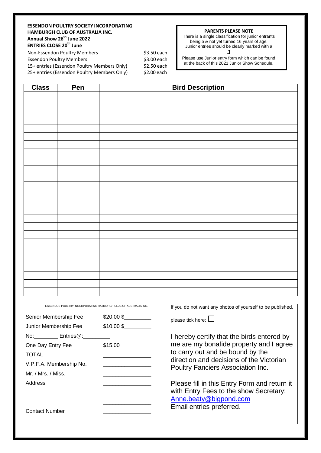#### **ESSENDON POULTRY SOCIETY INCORPORATING HAMBURGH CLUB OF AUSTRALIA INC. Annual Show 26th June 2022 ENTRIES CLOSE 20th June**

Non-Essendon Poultry Members  $\frac{1}{2}$  \$3.50 each Essendon Poultry Members 63.00 each 15+ entries (Essendon Poultry Members Only) \$2.50 each 25+ entries (Essendon Poultry Members Only) \$2.00 each

#### **PARENTS PLEASE NOTE**

There is a single classification for junior entrants being 5 & not yet turned 16 years of age. Junior entries should be clearly marked with a

**J**

Please use Junior entry form which can be found at the back of this 2021 Junior Show Schedule.

| <b>Class</b> | Pen | <b>Bird Description</b> |
|--------------|-----|-------------------------|
|              |     |                         |
|              |     |                         |
|              |     |                         |
|              |     |                         |
|              |     |                         |
|              |     |                         |
|              |     |                         |
|              |     |                         |
|              |     |                         |
|              |     |                         |
|              |     |                         |
|              |     |                         |
|              |     |                         |
|              |     |                         |
|              |     |                         |
|              |     |                         |
|              |     |                         |
|              |     |                         |
|              |     |                         |
|              |     |                         |
|              |     |                         |
|              |     |                         |
|              |     |                         |
|              |     |                         |
|              |     |                         |
|              |     |                         |

| ESSENDON POULTRY INCORPORATING HAMBURGH CLUB OF AUSTRALIA INC. |           | If you do not want any photos of yourself to be published,                           |
|----------------------------------------------------------------|-----------|--------------------------------------------------------------------------------------|
| Senior Membership Fee                                          | \$20.00\$ | please tick here: $\Box$                                                             |
| Junior Membership Fee                                          | \$10.00\$ |                                                                                      |
| No: Entries@:                                                  |           | I hereby certify that the birds entered by                                           |
| One Day Entry Fee                                              | \$15.00   | me are my bonafide property and I agree                                              |
| TOTAL                                                          |           | to carry out and be bound by the                                                     |
| V.P.F.A. Membership No.                                        |           | direction and decisions of the Victorian<br><b>Poultry Fanciers Association Inc.</b> |
| Mr. / Mrs. / Miss.                                             |           |                                                                                      |
| Address                                                        |           | Please fill in this Entry Form and return it                                         |
|                                                                |           | with Entry Fees to the show Secretary:                                               |
|                                                                |           | Anne.beaty@bigpond.com                                                               |
| <b>Contact Number</b>                                          |           | Email entries preferred.                                                             |
|                                                                |           |                                                                                      |